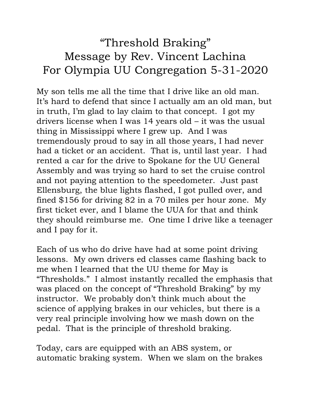## "Threshold Braking" Message by Rev. Vincent Lachina For Olympia UU Congregation 5-31-2020

My son tells me all the time that I drive like an old man. It's hard to defend that since I actually am an old man, but in truth, I'm glad to lay claim to that concept. I got my drivers license when I was 14 years old – it was the usual thing in Mississippi where I grew up. And I was tremendously proud to say in all those years, I had never had a ticket or an accident. That is, until last year. I had rented a car for the drive to Spokane for the UU General Assembly and was trying so hard to set the cruise control and not paying attention to the speedometer. Just past Ellensburg, the blue lights flashed, I got pulled over, and fined \$156 for driving 82 in a 70 miles per hour zone. My first ticket ever, and I blame the UUA for that and think they should reimburse me. One time I drive like a teenager and I pay for it.

Each of us who do drive have had at some point driving lessons. My own drivers ed classes came flashing back to me when I learned that the UU theme for May is "Thresholds." I almost instantly recalled the emphasis that was placed on the concept of "Threshold Braking" by my instructor. We probably don't think much about the science of applying brakes in our vehicles, but there is a very real principle involving how we mash down on the pedal. That is the principle of threshold braking.

Today, cars are equipped with an ABS system, or automatic braking system. When we slam on the brakes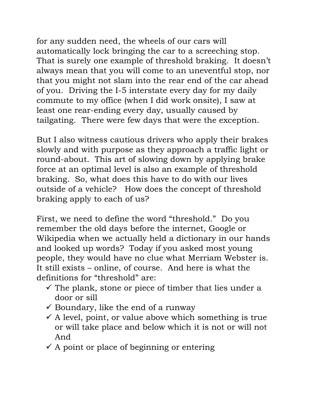for any sudden need, the wheels of our cars will automatically lock bringing the car to a screeching stop. That is surely one example of threshold braking. It doesn't always mean that you will come to an uneventful stop, nor that you might not slam into the rear end of the car ahead of you. Driving the I-5 interstate every day for my daily commute to my office (when I did work onsite), I saw at least one rear-ending every day, usually caused by tailgating. There were few days that were the exception.

But I also witness cautious drivers who apply their brakes slowly and with purpose as they approach a traffic light or round-about. This art of slowing down by applying brake force at an optimal level is also an example of threshold braking. So, what does this have to do with our lives outside of a vehicle? How does the concept of threshold braking apply to each of us?

First, we need to define the word "threshold." Do you remember the old days before the internet, Google or Wikipedia when we actually held a dictionary in our hands and looked up words? Today if you asked most young people, they would have no clue what Merriam Webster is. It still exists – online, of course. And here is what the definitions for "threshold" are:

- $\checkmark$  The plank, stone or piece of timber that lies under a door or sill
- $\checkmark$  Boundary, like the end of a runway
- $\checkmark$  A level, point, or value above which something is true or will take place and below which it is not or will not And
- $\checkmark$  A point or place of beginning or entering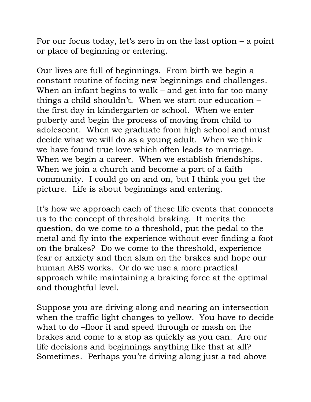For our focus today, let's zero in on the last option  $-$  a point or place of beginning or entering.

Our lives are full of beginnings. From birth we begin a constant routine of facing new beginnings and challenges. When an infant begins to walk – and get into far too many things a child shouldn't. When we start our education – the first day in kindergarten or school. When we enter puberty and begin the process of moving from child to adolescent. When we graduate from high school and must decide what we will do as a young adult. When we think we have found true love which often leads to marriage. When we begin a career. When we establish friendships. When we join a church and become a part of a faith community. I could go on and on, but I think you get the picture. Life is about beginnings and entering.

It's how we approach each of these life events that connects us to the concept of threshold braking. It merits the question, do we come to a threshold, put the pedal to the metal and fly into the experience without ever finding a foot on the brakes? Do we come to the threshold, experience fear or anxiety and then slam on the brakes and hope our human ABS works. Or do we use a more practical approach while maintaining a braking force at the optimal and thoughtful level.

Suppose you are driving along and nearing an intersection when the traffic light changes to yellow. You have to decide what to do –floor it and speed through or mash on the brakes and come to a stop as quickly as you can. Are our life decisions and beginnings anything like that at all? Sometimes. Perhaps you're driving along just a tad above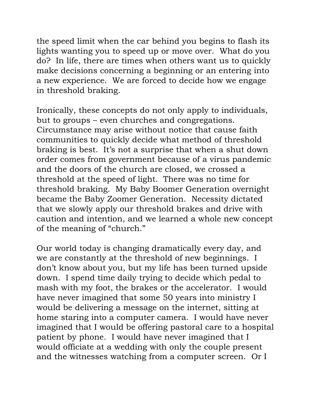the speed limit when the car behind you begins to flash its lights wanting you to speed up or move over. What do you do? In life, there are times when others want us to quickly make decisions concerning a beginning or an entering into a new experience. We are forced to decide how we engage in threshold braking.

Ironically, these concepts do not only apply to individuals, but to groups – even churches and congregations. Circumstance may arise without notice that cause faith communities to quickly decide what method of threshold braking is best. It's not a surprise that when a shut down order comes from government because of a virus pandemic and the doors of the church are closed, we crossed a threshold at the speed of light. There was no time for threshold braking. My Baby Boomer Generation overnight became the Baby Zoomer Generation. Necessity dictated that we slowly apply our threshold brakes and drive with caution and intention, and we learned a whole new concept of the meaning of "church."

Our world today is changing dramatically every day, and we are constantly at the threshold of new beginnings. I don't know about you, but my life has been turned upside down. I spend time daily trying to decide which pedal to mash with my foot, the brakes or the accelerator. I would have never imagined that some 50 years into ministry I would be delivering a message on the internet, sitting at home staring into a computer camera. I would have never imagined that I would be offering pastoral care to a hospital patient by phone. I would have never imagined that I would officiate at a wedding with only the couple present and the witnesses watching from a computer screen. Or I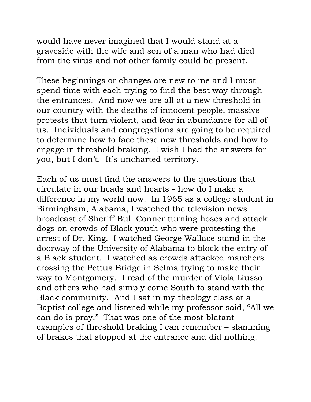would have never imagined that I would stand at a graveside with the wife and son of a man who had died from the virus and not other family could be present.

These beginnings or changes are new to me and I must spend time with each trying to find the best way through the entrances. And now we are all at a new threshold in our country with the deaths of innocent people, massive protests that turn violent, and fear in abundance for all of us. Individuals and congregations are going to be required to determine how to face these new thresholds and how to engage in threshold braking. I wish I had the answers for you, but I don't. It's uncharted territory.

Each of us must find the answers to the questions that circulate in our heads and hearts - how do I make a difference in my world now. In 1965 as a college student in Birmingham, Alabama, I watched the television news broadcast of Sheriff Bull Conner turning hoses and attack dogs on crowds of Black youth who were protesting the arrest of Dr. King. I watched George Wallace stand in the doorway of the University of Alabama to block the entry of a Black student. I watched as crowds attacked marchers crossing the Pettus Bridge in Selma trying to make their way to Montgomery. I read of the murder of Viola Liusso and others who had simply come South to stand with the Black community. And I sat in my theology class at a Baptist college and listened while my professor said, "All we can do is pray." That was one of the most blatant examples of threshold braking I can remember – slamming of brakes that stopped at the entrance and did nothing.